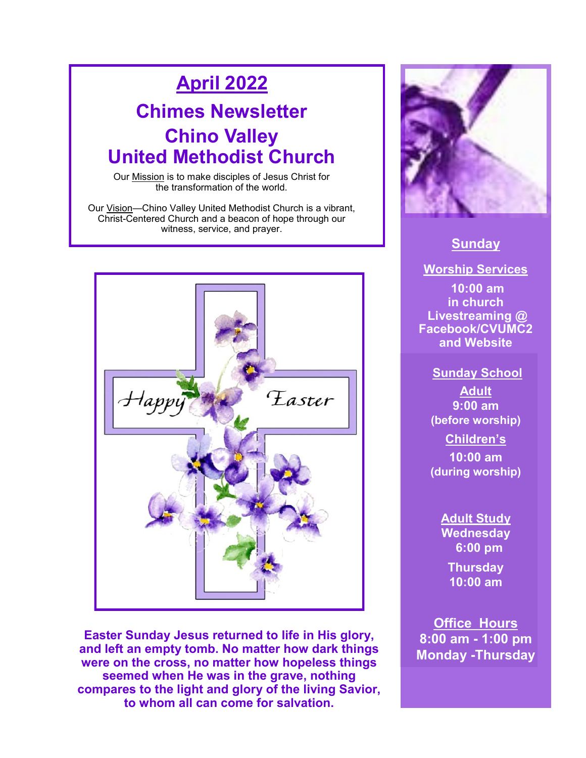# **April 2022**

## **Chimes Newsletter Chino Valley United Methodist Church**

Our Mission is to make disciples of Jesus Christ for the transformation of the world.

Our Vision—Chino Valley United Methodist Church is a vibrant, Christ-Centered Church and a beacon of hope through our witness, service, and prayer.



**Easter Sunday Jesus returned to life in His glory, and left an empty tomb. No matter how dark things were on the cross, no matter how hopeless things seemed when He was in the grave, nothing compares to the light and glory of the living Savior, to whom all can come for salvation.** 



### **Sunday**

**Worship Services 10:00 am in church Livestreaming @ Facebook/CVUMC2 and Website**

**Sunday School Adult 9:00 am (before worship) Children's 10:00 am (during worship)** 

> **Adult Study Wednesday 6:00 pm Thursday 10:00 am**

**Office Hours 8:00 am - 1:00 pm Monday -Thursday**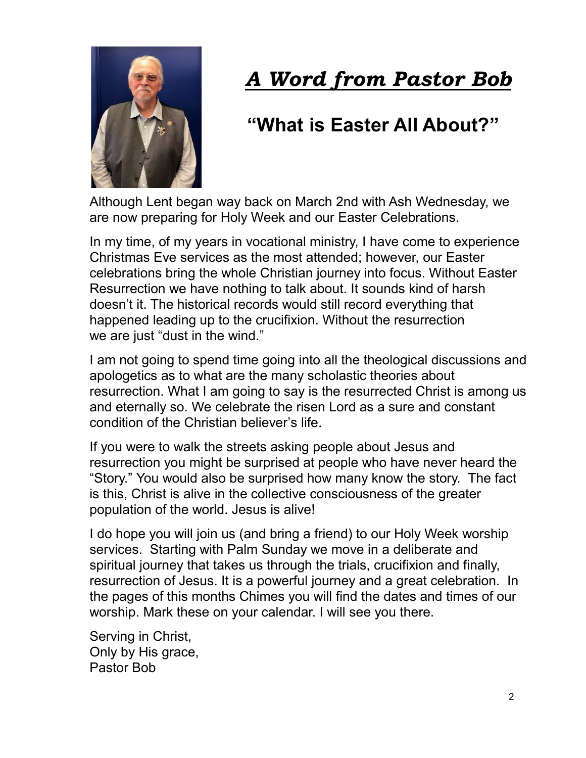

# *A Word from Pastor Bob*

# **"What is Easter All About?"**

Although Lent began way back on March 2nd with Ash Wednesday, we are now preparing for Holy Week and our Easter Celebrations.

In my time, of my years in vocational ministry, I have come to experience Christmas Eve services as the most attended; however, our Easter celebrations bring the whole Christian journey into focus. Without Easter Resurrection we have nothing to talk about. It sounds kind of harsh doesn't it. The historical records would still record everything that happened leading up to the crucifixion. Without the resurrection we are just "dust in the wind."

I am not going to spend time going into all the theological discussions and apologetics as to what are the many scholastic theories about resurrection. What I am going to say is the resurrected Christ is among us and eternally so. We celebrate the risen Lord as a sure and constant condition of the Christian believer's life.

If you were to walk the streets asking people about Jesus and resurrection you might be surprised at people who have never heard the "Story." You would also be surprised how many know the story. The fact is this, Christ is alive in the collective consciousness of the greater population of the world. Jesus is alive!

I do hope you will join us (and bring a friend) to our Holy Week worship services. Starting with Palm Sunday we move in a deliberate and spiritual journey that takes us through the trials, crucifixion and finally, resurrection of Jesus. It is a powerful journey and a great celebration. In the pages of this months Chimes you will find the dates and times of our worship. Mark these on your calendar. I will see you there.

Serving in Christ, Only by His grace, Pastor Bob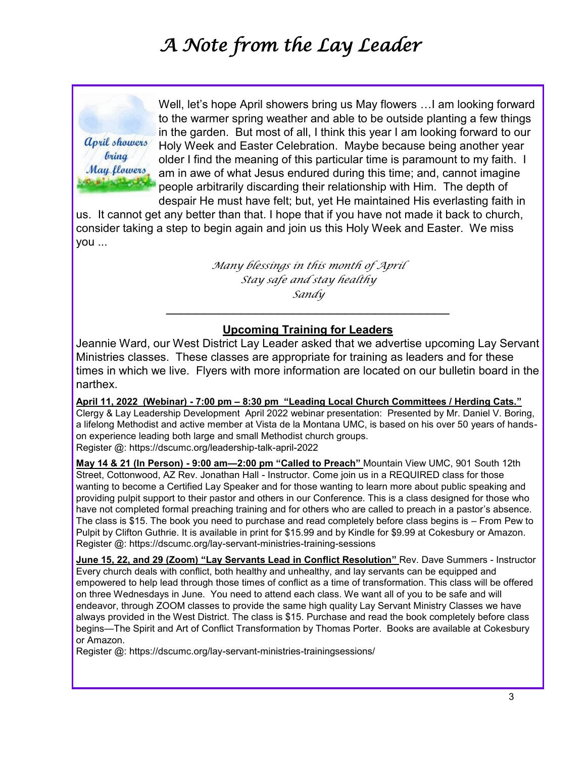# *A Note from the Lay Leader*

*april showers bring* May flowers Well, let's hope April showers bring us May flowers …I am looking forward to the warmer spring weather and able to be outside planting a few things in the garden. But most of all, I think this year I am looking forward to our Holy Week and Easter Celebration. Maybe because being another year older I find the meaning of this particular time is paramount to my faith. I am in awe of what Jesus endured during this time; and, cannot imagine people arbitrarily discarding their relationship with Him. The depth of despair He must have felt; but, yet He maintained His everlasting faith in

us. It cannot get any better than that. I hope that if you have not made it back to church, consider taking a step to begin again and join us this Holy Week and Easter. We miss you ...

> *Many blessings in this month of April Stay safe and stay healthy Sandy*  $\mathcal{L}_\text{max}$  , where  $\mathcal{L}_\text{max}$  , we are the set of the set of the set of the set of the set of the set of the set of the set of the set of the set of the set of the set of the set of the set of the set of the set of

#### **Upcoming Training for Leaders**

Jeannie Ward, our West District Lay Leader asked that we advertise upcoming Lay Servant Ministries classes. These classes are appropriate for training as leaders and for these times in which we live. Flyers with more information are located on our bulletin board in the narthex.

**April 11, 2022 (Webinar) - 7:00 pm – 8:30 pm "Leading Local Church Committees / Herding Cats."**  [Clergy & Lay Leadership Development](https://dscumc.org/blog/category/clergy-lay-leadership-development/) April 2022 webinar presentation: Presented by Mr. Daniel V. Boring, a lifelong Methodist and active member at Vista de la Montana UMC, is based on his over 50 years of handson experience leading both large and small Methodist church groups. Register @: https://dscumc.org/leadership-talk-april-2022

**May 14 & 21 (In Person) - 9:00 am—2:00 pm "Called to Preach"** Mountain View UMC, 901 South 12th Street, Cottonwood, AZ Rev. Jonathan Hall - Instructor. Come join us in a REQUIRED class for those wanting to become a Certified Lay Speaker and for those wanting to learn more about public speaking and providing pulpit support to their pastor and others in our Conference. This is a class designed for those who have not completed formal preaching training and for others who are called to preach in a pastor's absence. The class is \$15. The book you need to purchase and read completely before class begins is – From Pew to Pulpit by Clifton Guthrie. It is available in print for \$15.99 and by Kindle for \$9.99 at Cokesbury or Amazon. Register @: https://dscumc.org/lay-servant-ministries-training-sessions

**June 15, 22, and 29 (Zoom) "Lay Servants Lead in Conflict Resolution"** Rev. Dave Summers - Instructor Every church deals with conflict, both healthy and unhealthy, and lay servants can be equipped and empowered to help lead through those times of conflict as a time of transformation. This class will be offered on three Wednesdays in June. You need to attend each class. We want all of you to be safe and will endeavor, through ZOOM classes to provide the same high quality Lay Servant Ministry Classes we have always provided in the West District. The class is \$15. Purchase and read the book completely before class begins—The Spirit and Art of Conflict Transformation by Thomas Porter. Books are available at Cokesbury or Amazon.

Register @: https://dscumc.org/lay-servant-ministries-trainingsessions/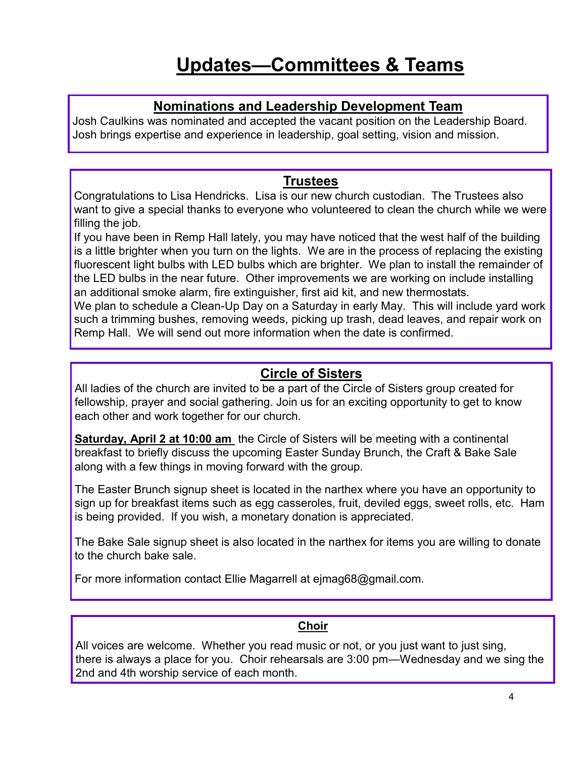### **Updates—Committees & Teams**

#### **Nominations and Leadership Development Team**

Josh Caulkins was nominated and accepted the vacant position on the Leadership Board. Josh brings expertise and experience in leadership, goal setting, vision and mission.

### **Trustees**

Congratulations to Lisa Hendricks. Lisa is our new church custodian. The Trustees also want to give a special thanks to everyone who volunteered to clean the church while we were filling the job.

If you have been in Remp Hall lately, you may have noticed that the west half of the building is a little brighter when you turn on the lights. We are in the process of replacing the existing fluorescent light bulbs with LED bulbs which are brighter. We plan to install the remainder of the LED bulbs in the near future. Other improvements we are working on include installing an additional smoke alarm, fire extinguisher, first aid kit, and new thermostats.

We plan to schedule a Clean-Up Day on a Saturday in early May. This will include yard work such a trimming bushes, removing weeds, picking up trash, dead leaves, and repair work on Remp Hall. We will send out more information when the date is confirmed.

### **Circle of Sisters**

All ladies of the church are invited to be a part of the Circle of Sisters group created for fellowship, prayer and social gathering. Join us for an exciting opportunity to get to know each other and work together for our church.

**Saturday, April 2 at 10:00 am** the Circle of Sisters will be meeting with a continental breakfast to briefly discuss the upcoming Easter Sunday Brunch, the Craft & Bake Sale along with a few things in moving forward with the group.

The Easter Brunch signup sheet is located in the narthex where you have an opportunity to sign up for breakfast items such as egg casseroles, fruit, deviled eggs, sweet rolls, etc. Ham is being provided. If you wish, a monetary donation is appreciated.

The Bake Sale signup sheet is also located in the narthex for items you are willing to donate to the church bake sale.

For more information contact Ellie Magarrell at ejmag68@gmail.com.

#### **Choir**

All voices are welcome. Whether you read music or not, or you just want to just sing, there is always a place for you. Choir rehearsals are 3:00 pm—Wednesday and we sing the 2nd and 4th worship service of each month.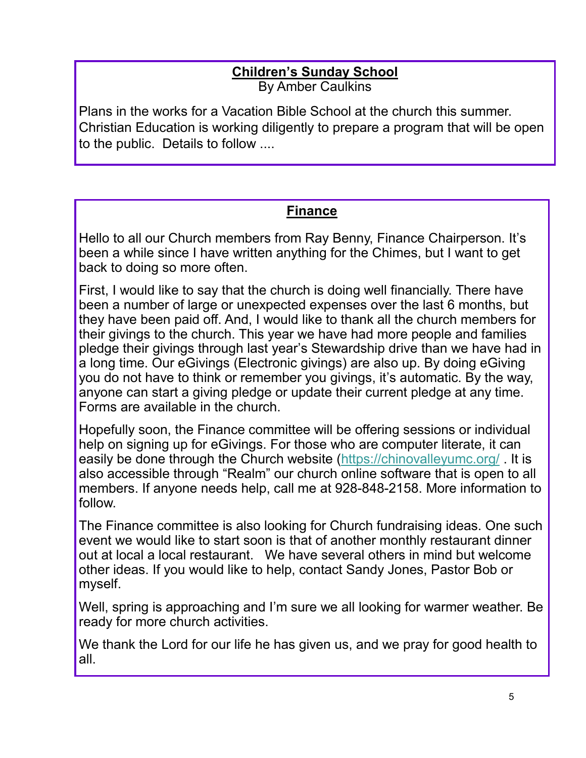### **Children's Sunday School** By Amber Caulkins

Plans in the works for a Vacation Bible School at the church this summer. Christian Education is working diligently to prepare a program that will be open to the public. Details to follow ....

### **Finance**

Hello to all our Church members from Ray Benny, Finance Chairperson. It's been a while since I have written anything for the Chimes, but I want to get back to doing so more often.

First, I would like to say that the church is doing well financially. There have been a number of large or unexpected expenses over the last 6 months, but they have been paid off. And, I would like to thank all the church members for their givings to the church. This year we have had more people and families pledge their givings through last year's Stewardship drive than we have had in a long time. Our eGivings (Electronic givings) are also up. By doing eGiving you do not have to think or remember you givings, it's automatic. By the way, anyone can start a giving pledge or update their current pledge at any time. Forms are available in the church.

Hopefully soon, the Finance committee will be offering sessions or individual help on signing up for eGivings. For those who are computer literate, it can easily be done through the Church website (<https://chinovalleyumc.org/> . It is also accessible through "Realm" our church online software that is open to all members. If anyone needs help, call me at 928-848-2158. More information to follow.

The Finance committee is also looking for Church fundraising ideas. One such event we would like to start soon is that of another monthly restaurant dinner out at local a local restaurant. We have several others in mind but welcome other ideas. If you would like to help, contact Sandy Jones, Pastor Bob or myself.

Well, spring is approaching and I'm sure we all looking for warmer weather. Be ready for more church activities.

We thank the Lord for our life he has given us, and we pray for good health to all.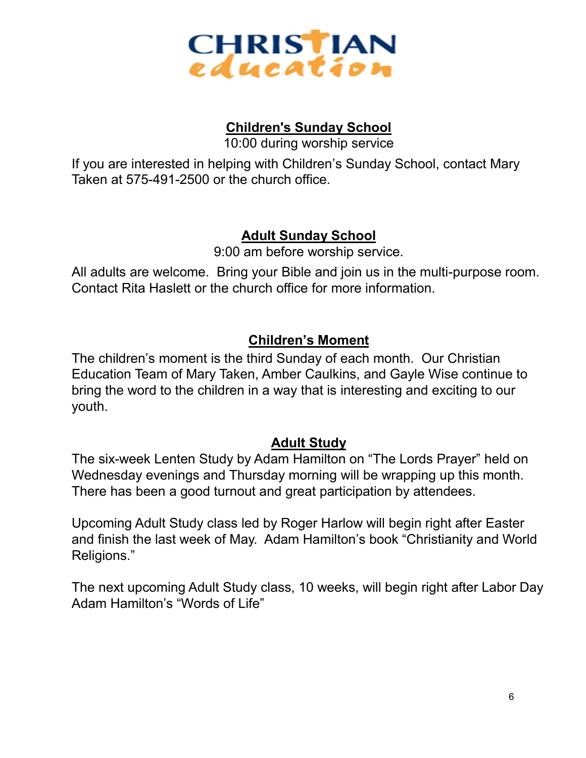

### **Children's Sunday School**

10:00 during worship service

If you are interested in helping with Children's Sunday School, contact Mary Taken at 575-491-2500 or the church office.

### **Adult Sunday School**

9:00 am before worship service.

All adults are welcome. Bring your Bible and join us in the multi-purpose room. Contact Rita Haslett or the church office for more information.

### **Children's Moment**

The children's moment is the third Sunday of each month. Our Christian Education Team of Mary Taken, Amber Caulkins, and Gayle Wise continue to bring the word to the children in a way that is interesting and exciting to our youth.

### **Adult Study**

The six-week Lenten Study by Adam Hamilton on "The Lords Prayer" held on Wednesday evenings and Thursday morning will be wrapping up this month. There has been a good turnout and great participation by attendees.

Upcoming Adult Study class led by Roger Harlow will begin right after Easter and finish the last week of May. Adam Hamilton's book "Christianity and World Religions."

The next upcoming Adult Study class, 10 weeks, will begin right after Labor Day Adam Hamilton's "Words of Life"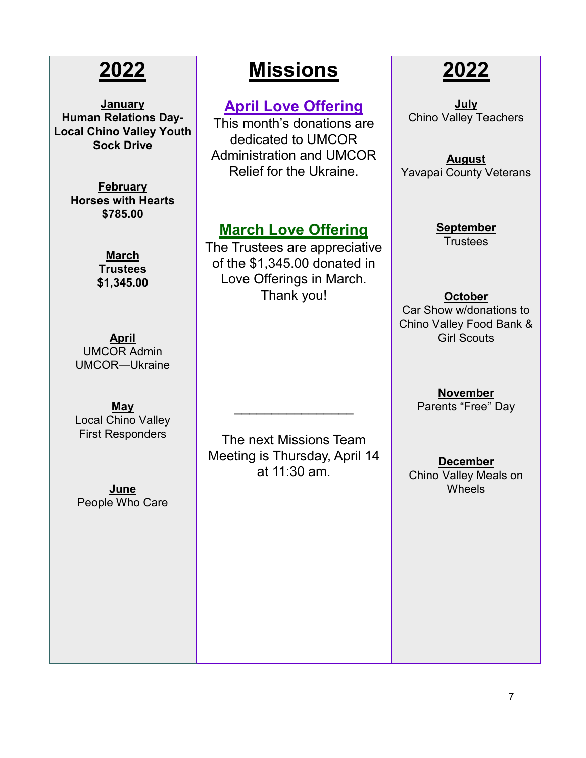# **2022**

**January Human Relations Day-Local Chino Valley Youth Sock Drive**

> **February Horses with Hearts \$785.00**

> > **March Trustees \$1,345.00**

**April** UMCOR Admin UMCOR—Ukraine

**May** Local Chino Valley First Responders

**June** People Who Care

# **Missions**

### **April Love Offering**

This month's donations are dedicated to UMCOR Administration and UMCOR Relief for the Ukraine.

### **March Love Offering**

The Trustees are appreciative of the \$1,345.00 donated in Love Offerings in March. Thank you!

# **2022**

**July** Chino Valley Teachers

**August** Yavapai County Veterans

> **September Trustees**

#### **October** Car Show w/donations to

Chino Valley Food Bank & Girl Scouts

> **November** Parents "Free" Day

The next Missions Team Meeting is Thursday, April 14 at 11:30 am.

 $\overline{\phantom{a}}$  , where  $\overline{\phantom{a}}$ 

**December** Chino Valley Meals on Wheels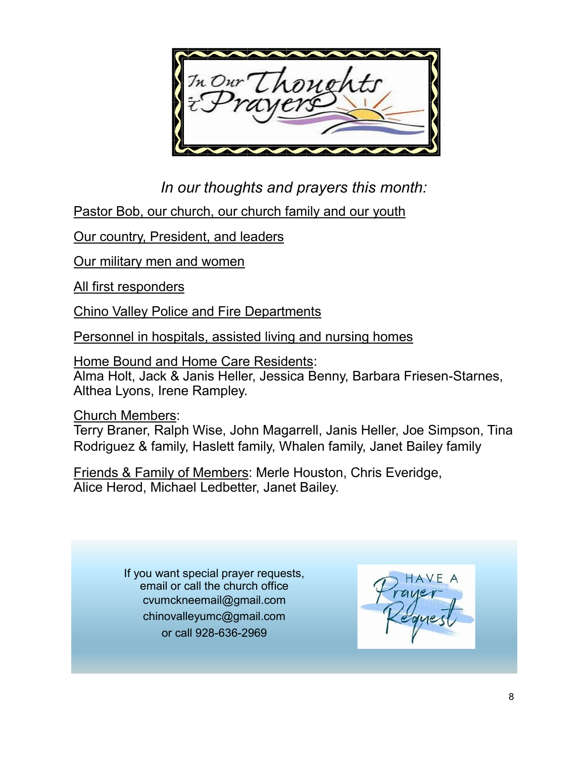In Our

*In our thoughts and prayers this month:*

Pastor Bob, our church, our church family and our youth

Our country, President, and leaders

Our military men and women

All first responders

Chino Valley Police and Fire Departments

Personnel in hospitals, assisted living and nursing homes

Home Bound and Home Care Residents: Alma Holt, Jack & Janis Heller, Jessica Benny, Barbara Friesen-Starnes, Althea Lyons, Irene Rampley.

Church Members:

Terry Braner, Ralph Wise, John Magarrell, Janis Heller, Joe Simpson, Tina Rodriguez & family, Haslett family, Whalen family, Janet Bailey family

Friends & Family of Members: Merle Houston, Chris Everidge, Alice Herod, Michael Ledbetter, Janet Bailey.

> If you want special prayer requests, email or call the church office cvumckneemail@gmail.com chinovalleyumc@gmail.com or call 928-636-2969

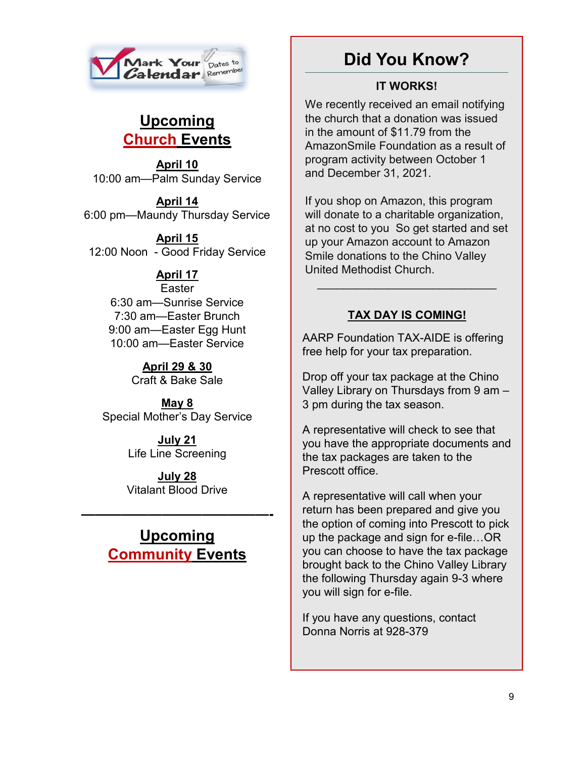

### **Upcoming Church Events**

**April 10** 10:00 am—Palm Sunday Service

**April 14** 6:00 pm—Maundy Thursday Service

**April 15** 12:00 Noon - Good Friday Service

### **April 17**

Easter 6:30 am—Sunrise Service 7:30 am—Easter Brunch 9:00 am—Easter Egg Hunt 10:00 am—Easter Service

> **April 29 & 30** Craft & Bake Sale

**May 8** Special Mother's Day Service

> **July 21** Life Line Screening

> **July 28** Vitalant Blood Drive

### **Upcoming Community Events**

**——————————————-**

### **Did You Know?**

### **IT WORKS!**

We recently received an email notifying the church that a donation was issued in the amount of \$11.79 from the AmazonSmile Foundation as a result of program activity between October 1 and December 31, 2021.

If you shop on Amazon, this program will donate to a charitable organization, at no cost to you So get started and set up your Amazon account to Amazon Smile donations to the Chino Valley United Methodist Church.

### **TAX DAY IS COMING!**

 $\mathcal{L}_\text{max}$  , and the set of the set of the set of the set of the set of the set of the set of the set of the set of the set of the set of the set of the set of the set of the set of the set of the set of the set of the

AARP Foundation TAX-AIDE is offering free help for your tax preparation.

Drop off your tax package at the Chino Valley Library on Thursdays from 9 am – 3 pm during the tax season.

A representative will check to see that you have the appropriate documents and the tax packages are taken to the Prescott office.

A representative will call when your return has been prepared and give you the option of coming into Prescott to pick up the package and sign for e-file…OR you can choose to have the tax package brought back to the Chino Valley Library the following Thursday again 9-3 where you will sign for e-file.

If you have any questions, contact Donna Norris at 928-379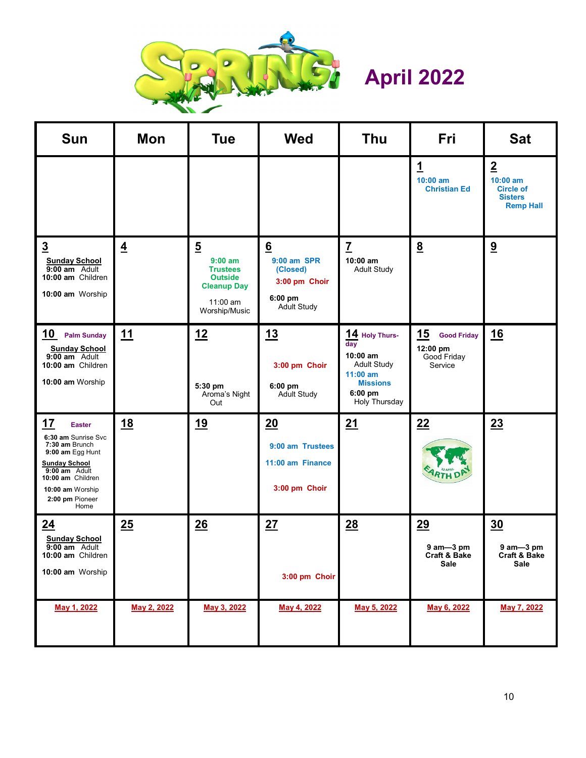

# **April 2022**

| <b>Sun</b>                                                                                                                                                                                           | <b>Mon</b>     | <b>Tue</b>                                                                                                            | <b>Wed</b>                                                                     | <b>Thu</b>                                                                                                             | Fri                                                                    | <b>Sat</b>                                                                             |
|------------------------------------------------------------------------------------------------------------------------------------------------------------------------------------------------------|----------------|-----------------------------------------------------------------------------------------------------------------------|--------------------------------------------------------------------------------|------------------------------------------------------------------------------------------------------------------------|------------------------------------------------------------------------|----------------------------------------------------------------------------------------|
|                                                                                                                                                                                                      |                |                                                                                                                       |                                                                                |                                                                                                                        | <u>1</u><br>$10:00$ am<br><b>Christian Ed</b>                          | $\overline{2}$<br>$10:00$ am<br><b>Circle of</b><br><b>Sisters</b><br><b>Remp Hall</b> |
| $\overline{3}$<br><b>Sunday School</b><br>9:00 am Adult<br>10:00 am Children<br>10:00 am Worship                                                                                                     | $\overline{4}$ | $\overline{5}$<br>$9:00$ am<br><b>Trustees</b><br><b>Outside</b><br><b>Cleanup Day</b><br>$11:00$ am<br>Worship/Music | 6<br>9:00 am SPR<br>(Closed)<br>3:00 pm Choir<br>6:00 pm<br><b>Adult Study</b> | $\overline{1}$<br>$10:00$ am<br><b>Adult Study</b>                                                                     | $\underline{8}$                                                        | 9                                                                                      |
| 10 Palm Sunday<br><b>Sunday School</b><br>9:00 am Adult<br>10:00 am Children<br>10:00 am Worship                                                                                                     | <u>11</u>      | 12<br>5:30 pm<br>Aroma's Night<br>Out                                                                                 | 13<br>3:00 pm Choir<br>$6:00$ pm<br><b>Adult Study</b>                         | 14 Holy Thurs-<br>day<br>$10:00$ am<br><b>Adult Study</b><br>$11:00$ am<br><b>Missions</b><br>6:00 pm<br>Holy Thursday | <u> 15</u><br><b>Good Friday</b><br>12:00 pm<br>Good Friday<br>Service | 16                                                                                     |
| <u>17</u><br><b>Easter</b><br>6:30 am Sunrise Svc<br>7:30 am Brunch<br>9:00 am Egg Hunt<br><b>Sunday School</b><br>9:00 am Adult<br>10:00 am Children<br>10:00 am Worship<br>2:00 pm Pioneer<br>Home | <u>18</u>      | <u>19</u>                                                                                                             | 20<br>9:00 am Trustees<br>11:00 am Finance<br>3:00 pm Choir                    | 21                                                                                                                     | 22<br><b>ARTH</b>                                                      | 23                                                                                     |
| 24<br><b>Sunday School</b><br>9:00 am Adult<br>10:00 am Children<br>10:00 am Worship                                                                                                                 | 25             | 26                                                                                                                    | 27<br>3:00 pm Choir                                                            | 28                                                                                                                     | 29<br>$9$ am $-3$ pm<br><b>Craft &amp; Bake</b><br>Sale                | 30<br>$9$ am $-3$ pm<br>Craft & Bake<br>Sale                                           |
| May 1, 2022                                                                                                                                                                                          | May 2, 2022    | May 3, 2022                                                                                                           | May 4, 2022                                                                    | May 5, 2022                                                                                                            | May 6, 2022                                                            | May 7, 2022                                                                            |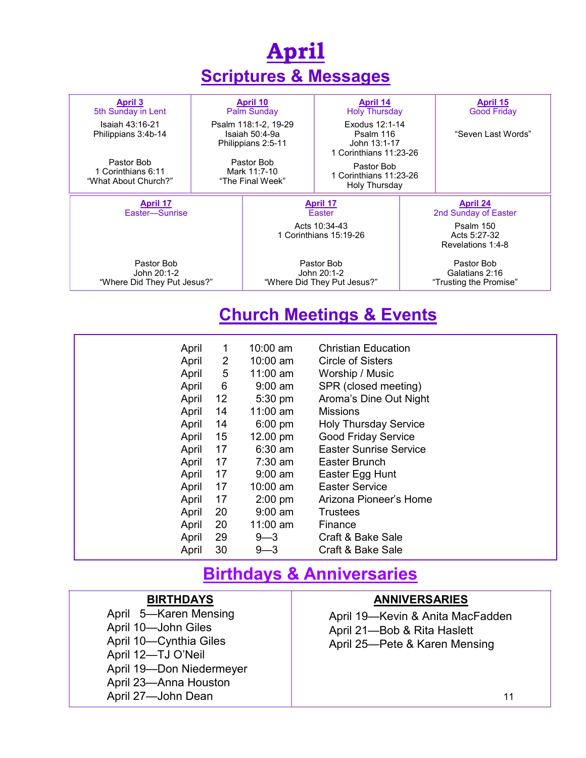| <b>April</b>                                             |                                                              |                                                          |                                                                       |                                                        |                                       |  |  |  |  |  |
|----------------------------------------------------------|--------------------------------------------------------------|----------------------------------------------------------|-----------------------------------------------------------------------|--------------------------------------------------------|---------------------------------------|--|--|--|--|--|
| <b>Scriptures &amp; Messages</b>                         |                                                              |                                                          |                                                                       |                                                        |                                       |  |  |  |  |  |
| <b>April 3</b><br>5th Sunday in Lent                     |                                                              | <b>April 10</b><br><b>Palm Sunday</b>                    | <b>April 14</b><br><b>Holy Thursday</b>                               |                                                        | <b>April 15</b><br><b>Good Friday</b> |  |  |  |  |  |
| Isaiah 43:16-21<br>Philippians 3:4b-14                   | Psalm 118:1-2, 19-29<br>Isaiah 50:4-9a<br>Philippians 2:5-11 |                                                          | Exodus 12:1-14<br>Psalm 116<br>John 13:1-17<br>1 Corinthians 11:23-26 |                                                        | "Seven Last Words"                    |  |  |  |  |  |
| Pastor Bob<br>1 Corinthians 6:11<br>"What About Church?" | Pastor Bob<br>Mark 11:7-10<br>"The Final Week"               |                                                          | Pastor Bob<br>1 Corinthians 11:23-26<br>Holy Thursday                 |                                                        |                                       |  |  |  |  |  |
| <b>April 17</b><br>Easter-Sunrise                        |                                                              |                                                          | <u>April 17</u><br>Faster                                             | <b>April 24</b><br>2nd Sunday of Easter                |                                       |  |  |  |  |  |
|                                                          |                                                              | Acts $10:34-43$<br>1 Corinthians 15:19-26                |                                                                       | Psalm 150<br>Acts 5:27-32<br>Revelations 1:4-8         |                                       |  |  |  |  |  |
| Pastor Bob<br>John 20:1-2<br>"Where Did They Put Jesus?" |                                                              | Pastor Bob<br>John 20:1-2<br>"Where Did They Put Jesus?" |                                                                       | Pastor Bob<br>Galatians 2:16<br>"Trusting the Promise" |                                       |  |  |  |  |  |

### **Church Meetings & Events**

| April | 1              | $10:00$ am | <b>Christian Education</b>    |
|-------|----------------|------------|-------------------------------|
| April | $\overline{2}$ | 10:00 am   | <b>Circle of Sisters</b>      |
| April | 5              | 11:00 am   | Worship / Music               |
| April | 6              | $9:00$ am  | SPR (closed meeting)          |
| April | 12             | $5:30$ pm  | Aroma's Dine Out Night        |
| April | 14             | $11:00$ am | <b>Missions</b>               |
| April | 14             | $6:00$ pm  | <b>Holy Thursday Service</b>  |
| April | 15             | 12.00 pm   | <b>Good Friday Service</b>    |
| April | 17             | $6:30$ am  | <b>Easter Sunrise Service</b> |
| April | 17             | $7:30$ am  | Easter Brunch                 |
| April | 17             | $9:00$ am  | Easter Egg Hunt               |
| April | 17             | $10:00$ am | <b>Easter Service</b>         |
| April | 17             | $2:00$ pm  | Arizona Pioneer's Home        |
| April | 20             | $9:00$ am  | Trustees                      |
| April | 20             | 11:00 $am$ | Finance                       |
| April | 29             | $9 - 3$    | Craft & Bake Sale             |
| April | 30             | $9 - 3$    | Craft & Bake Sale             |

### **Birthdays & Anniversaries**

### **BIRTHDAYS**

April 5—Karen Mensing April 10—John Giles April 10—Cynthia Giles April 12—TJ O'Neil April 19—Don Niedermeyer April 23—Anna Houston April 27—John Dean

#### **ANNIVERSARIES**

April 19—Kevin & Anita MacFadden April 21—Bob & Rita Haslett April 25—Pete & Karen Mensing